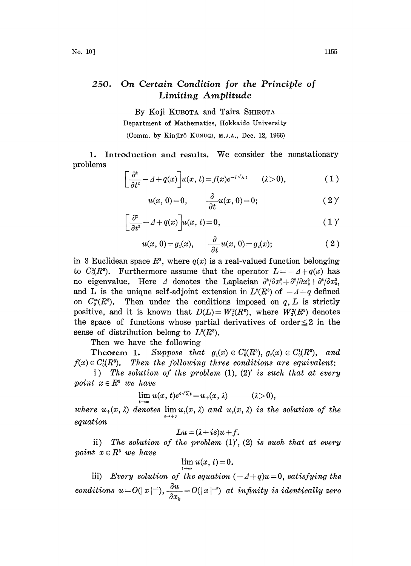## 250. On Certain Condition for the Principle of Limiting Amplitude

By Koji KUBOTA and Taira SHIROTA Department of Mathematics, Hokkaido University (Comm. by Kinjirô KUNUGI, M.J.A., Dec. 12, 1966)

1. Introduction and results. We consider the nonstationary problems

$$
\left[\frac{\partial^2}{\partial t^2} - \Delta + q(x)\right] u(x, t) = f(x)e^{-i\sqrt{\lambda}t} \qquad (2>0),
$$
\n(1)\n  
\n
$$
u(x, 0) = 0 \qquad \frac{\partial}{\partial u}(x, 0) = 0.
$$
\n(2)

$$
u(x, 0) = 0, \qquad \frac{\partial}{\partial t}u(x, 0) = 0; \qquad (2)'
$$

$$
\left[\frac{\partial^2}{\partial t^2} - \Delta + q(x)\right] u(x, t) = 0, \tag{1'}
$$

$$
u(x, 0) = g_1(x), \qquad \frac{\partial}{\partial t}u(x, 0) = g_2(x); \qquad (2)
$$

in 3 Euclidean space  $R^3$ , where  $q(x)$  is a real-valued function belonging to  $C_0^2(R^3)$ . Furthermore assume that the operator  $L = -A + q(x)$  has no eigenvalue. Here  $\Delta$  denotes the Laplacian  $\frac{\partial^2}{\partial x_1^2} + \frac{\partial^2}{\partial x_2^2} + \frac{\partial^2}{\partial x_3^2}$ , and L is the unique self-adjoint extension in  $L^2(R^3)$  of  $-\Delta+q$  defined on  $C_0^{\infty}(R^3)$ . Then under the conditions imposed on q, L is strictly positive, and it is known that  $D(L)=W_2^2(R^3)$ , where  $W_2^2(R^3)$  denotes the space of functions whose partial derivatives of order  $\leq$  2 in the sense of distribution belong to  $L^2(R^3)$ .

Then we have the following

Theorem 1. Suppose that  $g_1(x) \in C_0^2(R^3)$ ,  $g_2(x) \in C_0^1(R^3)$ , and  $f(x) \in C_0(R^3)$ . Then the following three conditions are equivalent:

i) The solution of the problem  $(1)$ ,  $(2)'$  is such that at every point  $x \in R^3$  we have

$$
\lim_{t\to\infty}u(x,t)e^{i\sqrt{\lambda}t}=u_+(x,\lambda)\qquad (\lambda>0),
$$

where  $u_+(x, \lambda)$  denotes  $\lim_{\epsilon \to +0} u_*(x, \lambda)$  and  $u_*(x, \lambda)$  is the solution of the equatio

$$
Lu = (\lambda + i\varepsilon)u + f.
$$

ii) The solution of the problem  $(1)'$ ,  $(2)$  is such that at every point  $x \in R^3$  we have

$$
\lim_{t\to\infty}u(x,\,t)\!=\!0.
$$

iii) Every solution of the equation  $(-4+q)u=0$ , satisfying the conditions  $u=O(|x|^{-1}), \frac{\partial u}{\partial x}=O(|x|^{-2})$  at infinity is identically zero  $\partial x_k$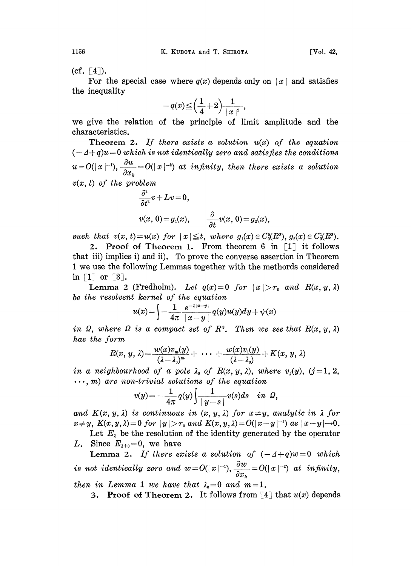$(cf. \lceil 4 \rceil).$ 

For the special case where  $q(x)$  depends only on  $|x|$  and satisfies the inequality

$$
-q(x)\hspace{-2pt}\leq\hspace{-2pt}\Big(\frac{1}{4}\hspace{-2pt}+\hspace{-2pt}2\Big)\frac{1}{\mid x\mid^2}\hspace{-2pt},
$$

we give the relation of the principle of limit amplitude and the characteristics.

Theorem 2. If there exists a solution  $u(x)$  of the equation  $(-4+q)u = 0$  which is not identically zero and satisfies the conditions  $u=O(|x|^{-1}), \frac{\partial u}{\partial x_k}=O(|x|^{-2})$  at infinity, then there exists a solution  $v(x, t)$  of the problem

$$
\begin{aligned} \frac{\partial^2}{\partial t^2}v + Lv &= 0, \\ v(x, 0) &= g_1(x), \qquad \frac{\partial}{\partial t}v(x, 0) = g_2(x), \end{aligned}
$$

such that  $v(x, t) = u(x)$  for  $|x| \leq t$ , where  $g_1(x) \in C_0^2(R^3)$ ,  $g_2(x) \in C_0^1(R^3)$ .

2. Proof of Theorem 1. From theorem 6 in  $\lceil 1 \rceil$  it follows that iii) implies i) and ii). To prove the converse assertion in Theorem <sup>1</sup> we use the following Lemmas together with the methords considered in  $\lceil 1 \rceil$  or  $\lceil 3 \rceil$ .

Lemma 2 (Fredholm). Let  $q(x)=0$  for  $|x|>r_0$  and  $R(x, y, \lambda)$ be the resolvent kernel of the equation

$$
u(x) = \int -\frac{1}{4\pi} \frac{e^{-\lambda|x-y|}}{|x-y|} q(y)u(y)dy + \psi(x)
$$

in  $\Omega$ , where  $\Omega$  is a compact set of  $R^3$ . Then we see that  $R(x, y, \lambda)$ has the form

$$
R(x, y, \lambda) = \frac{w(x)v_m(y)}{(\lambda - \lambda_0)^m} + \cdots + \frac{w(x)v_1(y)}{(\lambda - \lambda_0)} + K(x, y, \lambda)
$$

in a neighbourhood of a pole  $\lambda_0$  of  $R(x, y, \lambda)$ , where  $v_j(y)$ ,  $(j=1, 2, \lambda)$  $\ldots$ , m) are non-trivial solutions of the equation

$$
v(y)=-\frac{1}{4\pi}q(y)\int\frac{1}{|y-s|}v(s)ds \quad in \; \Omega,
$$

and  $K(x, y, \lambda)$  is continuous in  $(x, y, \lambda)$  for  $x \neq y$ , analytic in  $\lambda$  for  $x \neq y$ ,  $K(x, y, \lambda) = 0$  for  $|y| > r_0$  and  $K(x, y, \lambda) = O(|x - y|^{-1})$  as  $|x - y| \to 0$ .

Let  $E_{\lambda}$  be the resolution of the identity generated by the operator L. Since  $E_{\lambda+0}=0$ , we have

Lemma 2. If there exists a solution of  $(-4+q)w=0$  which is not identically zero and  $w=O(|x|^{-1}), \frac{\partial w}{\partial x_k}=O(|x|^{-2})$  at infinity, then in Lemma 1 we have that  $\lambda_0=0$  and  $m=1$ .

3. Proof of Theorem 2. It follows from [4] that  $u(x)$  depends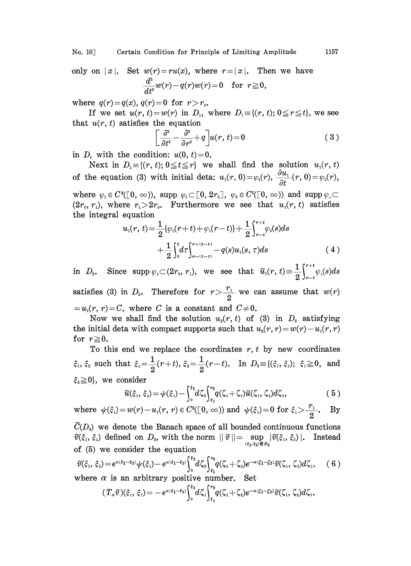No. 10] Certain Condition for Principle of Limiting Amplitude 1157

only on  $|x|$ . Set  $w(r) = ru(x)$ , where  $r = |x|$ . Then we have  $\frac{\partial u}{\partial t^2}w(r)-q(r)w(r)=0 \quad \text{for }\; r\geq 0,$ 

where  $q(r) = q(x)$ ,  $q(r) = 0$  for  $r > r_0$ .

If we set  $u(r, t) = w(r)$  in  $D_1$ , where  $D_1 = \{(r, t); 0 \le r \le t\}$ , we see that  $u(r, t)$  satisfies the equation

$$
\left[\frac{\partial^2}{\partial t^2} - \frac{\partial^2}{\partial r^2} + q\right] u(r, t) = 0 \tag{3}
$$

in  $D_1$  with the condition:  $u(0, t)=0$ .

Next in  $D_2 = \{(r, t); 0 \le t \le r\}$  we shall find the solution  $u_1(r, t)$ of the equation (3) with initial deta:  $u_1(r, 0) = \varphi_1(r)$ ,  $\frac{\partial u_1}{\partial t}(r, 0) = \varphi_2(r)$ ,

where  $\varphi_1 \in C^3([0, \infty))$ , supp  $\varphi_1 \subset [0, 2r_0], \varphi_2 \in C^2([0, \infty))$  and supp  $\varphi_1 \subset$  $(2r_0, r_1)$ , where  $r_1 > 2r_0$ . Furthermore we see that  $u_1(r, t)$  satisfies the integral equation

$$
u_1(r, t) = \frac{1}{2} \{ \varphi_1(r+t) + \varphi_1(r-t) \} + \frac{1}{2} \int_{r-t}^{r+t} \varphi_2(s) ds + \frac{1}{2} \int_0^t d\tau \int_{r-(t-\tau)}^{r+(t-\tau)} -q(s) u_1(s, \tau) ds
$$
(4)

 $\text{in}~~ D_2. \quad \text{Since}~~ \text{supp}~ \varphi_{\scriptscriptstyle 2} {\subset} (2r_{\scriptscriptstyle 0},\, r_{\scriptscriptstyle 1}), \;\; \text{we}~~ \text{see}~~ \text{that}~~ \widetilde{u}_{\scriptscriptstyle 1}(r,\, t){\equiv}\frac{1}{2}\!\int_{r-1}^{r+1}$ 

satisfies (3) in  $D_z$ . Therefore for  $r > \frac{r_1}{2}$  we can assume that  $w(r)$  $=u_1(r, r)=C$ , where C is a constant and  $C\neq0$ .

Now we shall find the solution  $u_2(r, t)$  of (3) in  $D_2$  satisfying the initial deta with compact supports such that  $u_2(r, r) = w(r)-u_1(r, r)$ for  $r\geq0$ .

To this end we replace the coordinates  $r, t$  by new coordinates  $\xi_1, \xi_2$  such that  $\xi_1 = \frac{1}{2}(r+t), \xi_2 = \frac{1}{2}(r-t)$ . In  $D_3 = \{(\xi_1, \xi_2); \xi_1 \geq 0, \text{ and } \xi_2 = 0\}$  $\begin{aligned} \hat{\xi}_1 \!\!=\!\frac{1}{2}(r\!+\!t), \, \hat{\xi}_2 \!\!=\!\frac{1}{2}(r\!-\!1),\ \hat{\xi}_3 \!\!=\!\frac{1}{2}(r\!-\!1),\ \hat{\xi}_4, \, \hat{\xi}_2) \!=\! \psi(\hat{\xi}_1) \!-\! \int_0^{\xi_2} \!\! d\zeta_2 \!\! \begin{cases} \tau_0 \ \tau_1 \end{cases}\ \tau_2 \!\!\!\!\!\! \left(r\right) \!-\! u_1(r,\,r) \!\in C^3(\mathbb{D},\,\infty), \end{aligned}$  $\xi_2 \ge 0$ , we consider

$$
\widetilde{u}(\xi_1, \xi_2) = \psi(\xi_1) - \int_0^{\xi_2} d\zeta_2 \int_{\xi_1}^{r_0} q(\zeta_1 + \zeta_2) \widetilde{u}(\zeta_1, \zeta_2) d\zeta_1, \qquad (5)
$$
  
  $\varepsilon w(r) - u_1(r, r) \in C^8([0, \infty)) \text{ and } \psi(\xi_1) = 0 \text{ for } \xi_1 > \frac{r_1}{2}. \quad \text{By}$ 

where 
$$
\psi(\xi_1) = w(r) - u_1(r, r) \in C^3([0, \infty))
$$
 and  $\psi(\xi_1) = 0$  for  $\xi_1 > \frac{r_1}{2}$ . By

 $C(D_3)$  we denote the Banach space of all bounded continuous functions  $\widetilde{v}(\xi_1, \xi_2)$  defined on  $D_s$ , with the norm  $||\widetilde{v}|| = \sup_{(\xi_1, \xi_2) \in D_s} |\widetilde{v}(\xi_1, \xi_2)|$ . Instead of (5) we consider the equation

$$
\widetilde{v}(\xi_1, \xi_2) = e^{\alpha(\xi_1 - \xi_2)} \psi(\xi_1) - e^{\alpha(\xi_1 - \xi_2)} \int_0^{\xi_2} d\zeta_2 \int_{\xi_1}^{r_0} d(\zeta_1 + \zeta_2) e^{-\alpha(\zeta_1 - \zeta_2)} \widetilde{v}(\zeta_1, \zeta_2) d\zeta_1, \quad (6)
$$
\nwhere  $\alpha$  is an arbitrary positive number. Set

where 
$$
\alpha
$$
 is an arbitrary positive number. Set  
\n
$$
(T_{\alpha}\tilde{v})(\xi_1, \xi_2) = -e^{\alpha(\xi_1-\xi_2)} \int_0^{\xi_2} d\zeta_2 \int_{\xi_1}^{r_0} q(\zeta_1+\zeta_2) e^{-\alpha(\xi_1-\xi_2)} \tilde{v}(\zeta_1, \zeta_2) d\zeta_1.
$$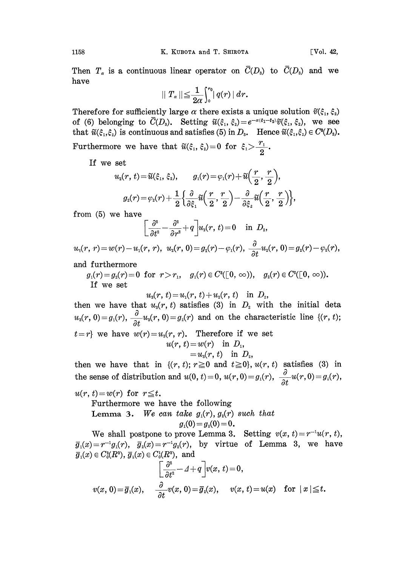Then  $T_{\alpha}$  is a continuous linear operator on  $\overline{C}(D_3)$  to  $\overline{C}(D_3)$  and we have

$$
|| T_\alpha || \leqq \frac{1}{2\alpha} \int_0^{r_0} |q(r)| dr.
$$

Therefore for sufficiently large  $\alpha$  there exists a unique solution  $\tilde{v}(\xi_1, \xi_2)$ of (6) belonging to  $\overline{C}(D_3)$ . Setting  $\widetilde{u}(\xi_1, \xi_2) = e^{-\alpha(\xi_1-\xi_2)}\widetilde{v}(\xi_1, \xi_2)$ , we see that  $\widetilde{u}(\xi_1,\xi_2)$  is continuous and satisfies (5) in  $D_3$ . Hence  $\widetilde{u}(\xi_1,\xi_2) \in C^8(D_3)$ . Furthermore we have that  $\widetilde{u}(\xi_1, \xi_2)=0$  for  $\xi_1 > \frac{r_1}{2}$ 

If we set

$$
\begin{aligned} u_\text{\tiny{2}}(r,\,t)&\!=\!\widetilde{u}(\xi_1,\,\xi_2),\qquad &g_\text{\tiny{1}}(r)\!=\!\varphi_\text{\tiny{1}}(r)\!+\!\widetilde{u}\!\left(\frac{r}{2},\,\frac{r}{2}\right)\!,\\ &g_\text{\tiny{2}}(r)\!=\!\varphi_\text{\tiny{2}}(r)\!+\!\frac{1}{2}\Big\{\frac{\partial}{\partial\xi_1}\widetilde{u}\!\left(\frac{r}{2},\frac{r}{2}\right)\!-\!\frac{\partial}{\partial\xi_2}\widetilde{u}\!\left(\frac{r}{2},\frac{r}{2}\right)\!\Big\}, \end{aligned}
$$

from (5) we have

$$
\bigg[\frac{\partial^2}{\partial t^2}-\frac{\partial^2}{\partial r^2}+q\bigg]u_{\scriptscriptstyle 2}(r,\,t)\!=\!0\quad\;\text{in}\;\;D_{\scriptscriptstyle 2},
$$

 $u_3(r, r) = w(r) - u_1(r, r), u_2(r, 0) = g_1(r) - \varphi_1(r), \frac{\partial}{\partial r} u_2(r, 0) = g_2(r) - \varphi_2(r),$ 

and furthermore

 $g_1(r)=g_2(r)=0 \,\, \text{ for } \,\, r>r_1,\quad g_1(r)\in C^3([0,\,\infty)), \quad g_2(r)\in C^2([0,\,\infty)).$ If we set

$$
u_{3}(r, t) = u_{1}(r, t) + u_{2}(r, t) \quad \text{in} \ \ D_{2},
$$

then we have that  $u_s(r, t)$  satisfies (3) in  $D_2$  with the initial deta  $u_3(r, 0) = g_1(r), \frac{\partial}{\partial t}u_3(r, 0) = g_2(r)$  and on the characteristic line  $\{(r, t)\}$ ;  $t=r$ } we have  $w(r)=u_s(r, r)$ . Therefore if we set  $u(r, t) = w(r)$  in  $D_1$ ,  $=u_3(r, t)$  in  $D_2$ ,

then we have that in  $\{(r, t); r \ge 0 \text{ and } t \ge 0\}, u(r, t)$  satisfies (3) in the sense of distribution and  $u(0, t)=0$ ,  $u(r, 0)=g_1(r)$ ,  $\frac{\partial}{\partial t}u(r, 0)=g_2(r)$ ,

 $u(r, t) = w(r)$  for  $r \leq t$ .

Furthermore we have the following

Lemma 3. We can take  $g_1(r)$ ,  $g_2(r)$  such that

$$
g_1(0) = g_2(0) = 0.
$$

We shall postpone to prove Lemma 3. Setting  $v(x, t)=r^{-1}u(r, t)$ ,  $\overline{g}_1(x)=r^{-1}g_1(r), \ \overline{g}_2(x)=r^{-1}g_2(r),$  by virtue of Lemma 3, we have  $\bar{g}_1(x) \in C_0^2(R^3), \, \bar{g}_2(x) \in C_0^1(R^3), \, \, \text{and}$ 

$$
\left[\frac{\partial^2}{\partial t^2} - A + q\right] v(x, t) = 0,
$$
  

$$
v(x, 0) = \overline{g}_1(x), \quad \frac{\partial}{\partial t} v(x, 0) = \overline{g}_2(x), \quad v(x, t) = u(x) \quad \text{for } |x| \le t.
$$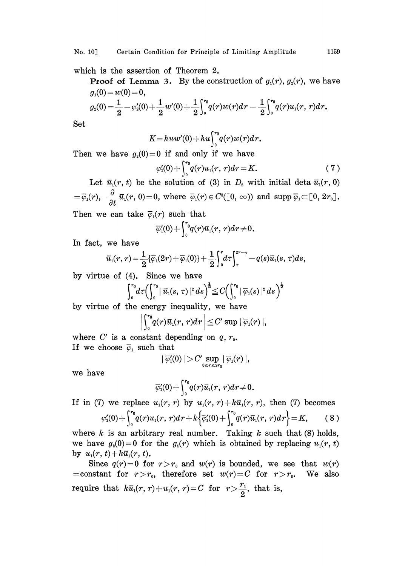No. 10] Certain Condition for Principle of Limiting Amplitude 1159

which is the assertion of Theorem 2.

**Proof of Lemma 3.** By the construction of  $g_1(r)$ ,  $g_2(r)$ , we have  $g_1(0)= w(0)=0,$ 

$$
g_{2}(0) = \frac{1}{2} - \varphi'_{2}(0) + \frac{1}{2}w'(0) + \frac{1}{2}\int_{0}^{r_{0}}q(r)w(r)dr - \frac{1}{2}\int_{0}^{r_{0}}q(r)u_{1}(r, r)dr.
$$

Set

$$
K=huw'(0)+hu\int_0^{r_0}q(r)w(r)dr.
$$

Then we have  $g_2(0)=0$  if and only if we have

$$
\varphi_1'(0) + \int_0^{r_0} q(r) u_1(r, r) dr = K. \tag{7}
$$

Let  $\bar{u}_1(r, t)$  be the solution of (3) in  $D_2$  with initial deta  $\bar{u}_1(r, 0)$  $\overline{\varphi}_1(r), \ \ \frac{\partial}{\partial t}\overline{u}_1(r, 0)=0, \text{ where } \ \overline{\varphi}_1(r) \in C^s([0, \infty)) \text{ and } \text{supp }\overline{\varphi}_1 \subset [0, 2r_0].$ 

Then we can take  $\bar{\varphi}_1(r)$  such that

$$
\overline{\varphi}_1'(0)+\int_0^{r_0}\!\!q(r)\overline{u}_1(r,\,r)dr\!\neq\!0.
$$

In fact, we have

$$
\bar{u}_1(r,r) = \frac{1}{2} \{\overline{\varphi}_1(2r) + \overline{\varphi}_1(0)\} + \frac{1}{2} \int_0^r d\tau \int_r^{2r-r} - q(s) \overline{u}_1(s,\,\tau) ds,
$$
\ne of (4). Since we have\n
$$
\int_0^{r_0} d\tau \left( \int_0^{r_0} |\,\overline{u}_1(s,\,\tau)|^2 \,ds \right)^{\frac{1}{2}} \leq C \left( \int_0^{r_0} |\,\overline{\varphi}_1(s)|^2 \,ds \right)^{\frac{1}{2}}
$$

by virtue of (4). Since we have

$$
\int_0^{r_0} d\tau \left( \int_0^{r_0} |\; \overline{u}_1(s,\,\tau)\; |^s \, ds \right)^{\frac{1}{2}} \leq C \left( \int_0^{r_0} |\; \overline{\varphi}_1(s)\; |^s \, ds \; \right)^{\frac{1}{2}}
$$

by virtue of the energy inequality, we have

$$
\left|\int_0^{r_0}\!\! q(r)\overline{u}_\mathrm{i}(r,\,r)d r\,\right|\!\leq\! C'\sup\mid\overline{\varphi}_\mathrm{i}(r)\mid,
$$

where C' is a constant depending on  $q, r_0$ . If we choose  $\bar{\varphi}_1$  such that

$$
| \ \overline{\varphi}_\mathbf{1}'(0) \ | \! > \! C' \sup_{0 \leq r \leq 2r_0} \! | \ \overline{\varphi}_\mathbf{1}(r) \ |,
$$

we have

$$
\overline{\varphi}_1'(0)+\int_{0}^{r_0}\!\!q(r)\overline{u}_1(r,\,r)dr\!\neq\!0.
$$

If in (7) we replace  $u_1(r, r)$  by  $u_1(r, r)+k\overline{u}_1(r, r)$ , then (7) becomes

$$
\varphi_1'(0) + \int_0^{r_0} q(r) u_1(r, r) dr + k \Big\{ \overline{\varphi}_1'(0) + \int_0^{r_0} q(r) \overline{u}_1(r, r) dr \Big\} = K, \qquad (8)
$$

where k is an arbitrary real number. Taking k such that  $(8)$  holds, we have  $g_2(0)=0$  for the  $g_2(r)$  which is obtained by replacing  $u_1(r, t)$ by  $u_1(r, t) + k\bar{u}_1(r, t)$ .

Since  $q(r)=0$  for  $r>r_0$  and  $w(r)$  is bounded, we see that  $w(r)$ = constant for  $r>r_0$ , therefore set  $w(r)=C$  for  $r>r_0$ . We also require that  $k\bar{u}_1(r, r)+u_1(r, r)=C$  for  $r>\frac{r_1}{2}$ , that is,